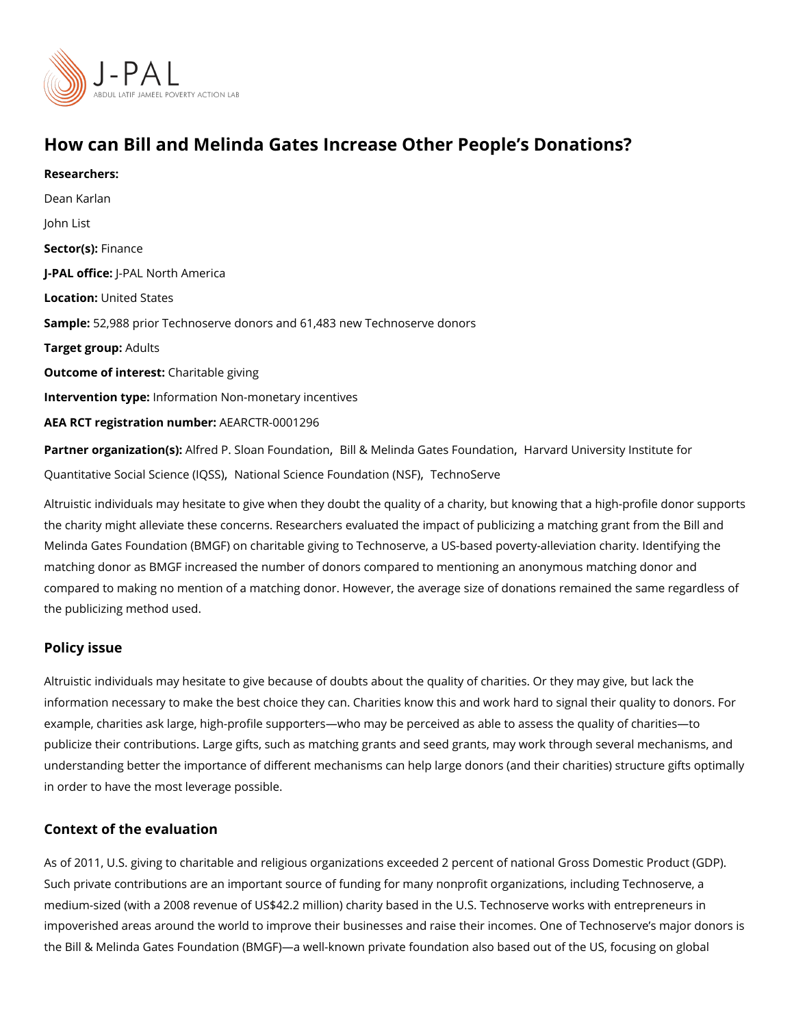# How can Bill and Melinda Gates Increase Other People s Do Researchers: [Dean Ka](https://www.povertyactionlab.org/person/karlan)rlan John List Sector(Fsi)nance J-PAL of Ui-CPEAL North America Locatiobnited States Sampl&: 2,988 prior Technoserve donors and 61,483 new Technoserve donors Target gro $A$ dults Outcome of inteChatitable giving Intervention typfeormation Non-monetary incentives AEA RCT registration ArEuAnRbCeTR-0001296 Partner organizatAlofm(esd): P. Sloan FogBhilda&LioMelinda Gates Fholandaentd oldniversity Institute for [Quantitative Social Sc](https://www.povertyactionlab.org/partners/harvard-university-institute-quantitative-social-science-iqss)iblation (aQSSS) ence Found[ation \(NS](https://www.povertyactionlab.org/partners/technoserve)SF) e

Altruistic individuals may hesitate to give when they doubt the quality of a charity, but kr the charity might alleviate these concerns. Researchers evaluated the impact of publicizing Melinda Gates Foundation (BMGF) on charitable giving to Technoserve, a US-based pover matching donor as BMGF increased the number of donors compared to mentioning an anon compared to making no mention of a matching donor. However, the average size of donations the publicizing method used.

#### Policy issue

Altruistic individuals may hesitate to give because of doubts about the quality of charitie information necessary to make the best choice they can. Charities know this and work har example, charities ask large, high-profile supporters who may be perceived as able to ass publicize their contributions. Large gifts, such as matching grants and seed grants, may w understanding better the importance of different mechanisms can help large donors (and t in order to have the most leverage possible.

#### Context of the evaluation

As of 2011, U.S. giving to charitable and religious organizations exceeded 2 percent of n Such private contributions are an important source of funding for many nonprofit organiza medium-sized (with a 2008 revenue of US\$42.2 million) charity based in the U.S. Technos impoverished areas around the world to improve their businesses and raise their incomes. the Bill & Melinda Gates Foundation (BMGF) a well-known private foundation also based o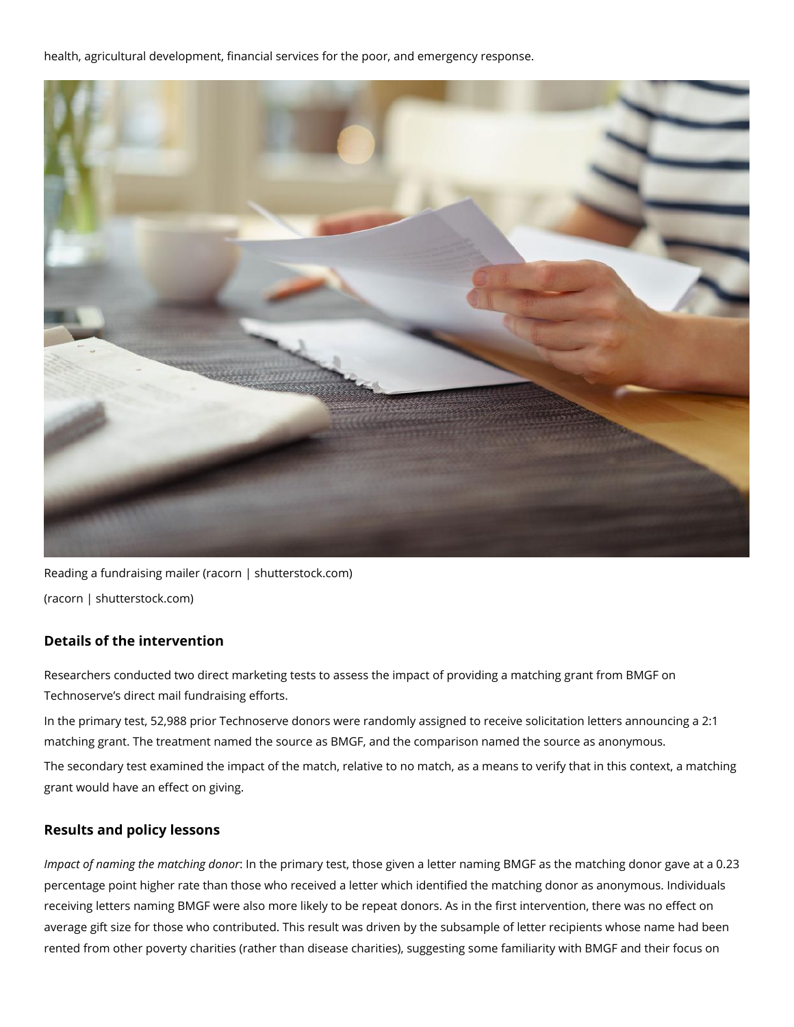health, agricultural development, financial services for the poor, and emergency response.



Reading a fundraising mailer (racorn | shutterstock.com) (racorn | shutterstock.com)

## **Details of the intervention**

Researchers conducted two direct marketing tests to assess the impact of providing a matching grant from BMGF on Technoserve's direct mail fundraising efforts.

In the primary test, 52,988 prior Technoserve donors were randomly assigned to receive solicitation letters announcing a 2:1 matching grant. The treatment named the source as BMGF, and the comparison named the source as anonymous.

The secondary test examined the impact of the match, relative to no match, as a means to verify that in this context, a matching grant would have an effect on giving.

### **Results and policy lessons**

*Impact of naming the matching donor*: In the primary test, those given a letter naming BMGF as the matching donor gave at a 0.23 percentage point higher rate than those who received a letter which identified the matching donor as anonymous. Individuals receiving letters naming BMGF were also more likely to be repeat donors. As in the first intervention, there was no effect on average gift size for those who contributed. This result was driven by the subsample of letter recipients whose name had been rented from other poverty charities (rather than disease charities), suggesting some familiarity with BMGF and their focus on